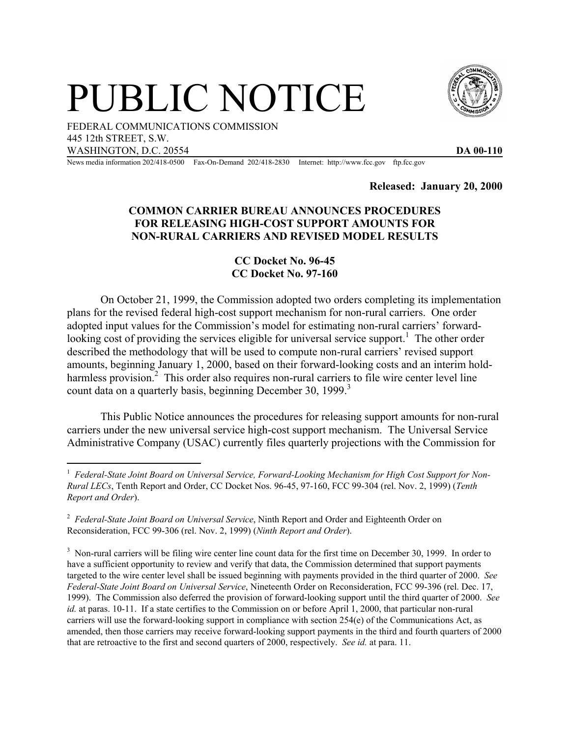## PUBLIC NOTICE



FEDERAL COMMUNICATIONS COMMISSION 445 12th STREET, S.W. WASHINGTON, D.C. 20554 **DA 00-110** 

News media information 202/418-0500 Fax-On-Demand 202/418-2830 Internet: http://www.fcc.gov ftp.fcc.gov

**Released: January 20, 2000** 

## **COMMON CARRIER BUREAU ANNOUNCES PROCEDURES FOR RELEASING HIGH-COST SUPPORT AMOUNTS FOR NON-RURAL CARRIERS AND REVISED MODEL RESULTS**

## **CC Docket No. 96-45 CC Docket No. 97-160**

On October 21, 1999, the Commission adopted two orders completing its implementation plans for the revised federal high-cost support mechanism for non-rural carriers. One order adopted input values for the Commission's model for estimating non-rural carriers' forwardlooking cost of providing the services eligible for universal service support.<sup>1</sup> The other order described the methodology that will be used to compute non-rural carriers' revised support amounts, beginning January 1, 2000, based on their forward-looking costs and an interim holdharmless provision.<sup>2</sup> This order also requires non-rural carriers to file wire center level line count data on a quarterly basis, beginning December 30, 1999.<sup>3</sup>

 This Public Notice announces the procedures for releasing support amounts for non-rural carriers under the new universal service high-cost support mechanism. The Universal Service Administrative Company (USAC) currently files quarterly projections with the Commission for

<sup>&</sup>lt;sup>1</sup> Federal-State Joint Board on Universal Service, Forward-Looking Mechanism for High Cost Support for Non-*Rural LECs*, Tenth Report and Order, CC Docket Nos. 96-45, 97-160, FCC 99-304 (rel. Nov. 2, 1999) (*Tenth Report and Order*).

<sup>2</sup> *Federal-State Joint Board on Universal Service*, Ninth Report and Order and Eighteenth Order on Reconsideration, FCC 99-306 (rel. Nov. 2, 1999) (*Ninth Report and Order*).

 $3$  Non-rural carriers will be filing wire center line count data for the first time on December 30, 1999. In order to have a sufficient opportunity to review and verify that data, the Commission determined that support payments targeted to the wire center level shall be issued beginning with payments provided in the third quarter of 2000. *See Federal-State Joint Board on Universal Service*, Nineteenth Order on Reconsideration, FCC 99-396 (rel. Dec. 17, 1999). The Commission also deferred the provision of forward-looking support until the third quarter of 2000. *See id.* at paras. 10-11. If a state certifies to the Commission on or before April 1, 2000, that particular non-rural carriers will use the forward-looking support in compliance with section 254(e) of the Communications Act, as amended, then those carriers may receive forward-looking support payments in the third and fourth quarters of 2000 that are retroactive to the first and second quarters of 2000, respectively. *See id.* at para. 11.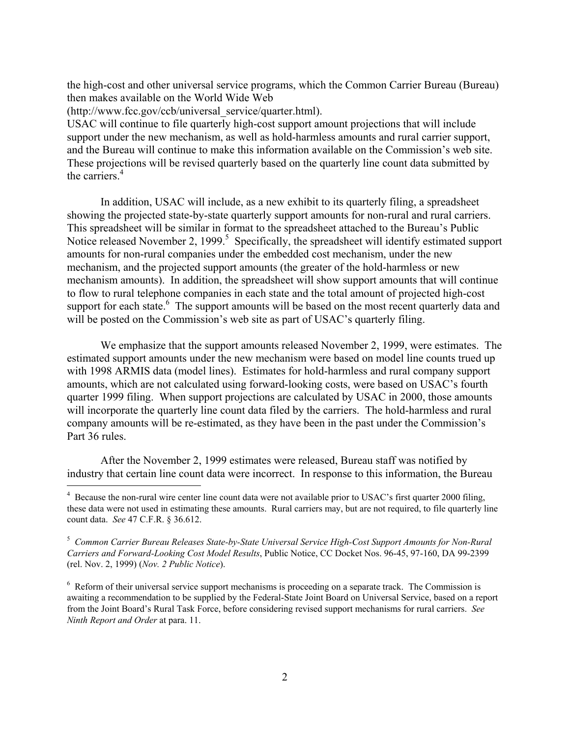the high-cost and other universal service programs, which the Common Carrier Bureau (Bureau) then makes available on the World Wide Web

(http://www.fcc.gov/ccb/universal\_service/quarter.html).

USAC will continue to file quarterly high-cost support amount projections that will include support under the new mechanism, as well as hold-harmless amounts and rural carrier support, and the Bureau will continue to make this information available on the Commission's web site. These projections will be revised quarterly based on the quarterly line count data submitted by the carriers.<sup>4</sup>

In addition, USAC will include, as a new exhibit to its quarterly filing, a spreadsheet showing the projected state-by-state quarterly support amounts for non-rural and rural carriers. This spreadsheet will be similar in format to the spreadsheet attached to the Bureau's Public Notice released November 2, 1999.<sup>5</sup> Specifically, the spreadsheet will identify estimated support amounts for non-rural companies under the embedded cost mechanism, under the new mechanism, and the projected support amounts (the greater of the hold-harmless or new mechanism amounts). In addition, the spreadsheet will show support amounts that will continue to flow to rural telephone companies in each state and the total amount of projected high-cost support for each state.<sup>6</sup> The support amounts will be based on the most recent quarterly data and will be posted on the Commission's web site as part of USAC's quarterly filing.

We emphasize that the support amounts released November 2, 1999, were estimates. The estimated support amounts under the new mechanism were based on model line counts trued up with 1998 ARMIS data (model lines). Estimates for hold-harmless and rural company support amounts, which are not calculated using forward-looking costs, were based on USAC's fourth quarter 1999 filing. When support projections are calculated by USAC in 2000, those amounts will incorporate the quarterly line count data filed by the carriers. The hold-harmless and rural company amounts will be re-estimated, as they have been in the past under the Commission's Part 36 rules.

After the November 2, 1999 estimates were released, Bureau staff was notified by industry that certain line count data were incorrect. In response to this information, the Bureau e<br>S

<sup>&</sup>lt;sup>4</sup> Because the non-rural wire center line count data were not available prior to USAC's first quarter 2000 filing, these data were not used in estimating these amounts. Rural carriers may, but are not required, to file quarterly line count data. *See* 47 C.F.R. § 36.612.

<sup>5</sup> *Common Carrier Bureau Releases State-by-State Universal Service High-Cost Support Amounts for Non-Rural Carriers and Forward-Looking Cost Model Results*, Public Notice, CC Docket Nos. 96-45, 97-160, DA 99-2399 (rel. Nov. 2, 1999) (*Nov. 2 Public Notice*).

<sup>&</sup>lt;sup>6</sup> Reform of their universal service support mechanisms is proceeding on a separate track. The Commission is awaiting a recommendation to be supplied by the Federal-State Joint Board on Universal Service, based on a report from the Joint Board's Rural Task Force, before considering revised support mechanisms for rural carriers. *See Ninth Report and Order* at para. 11.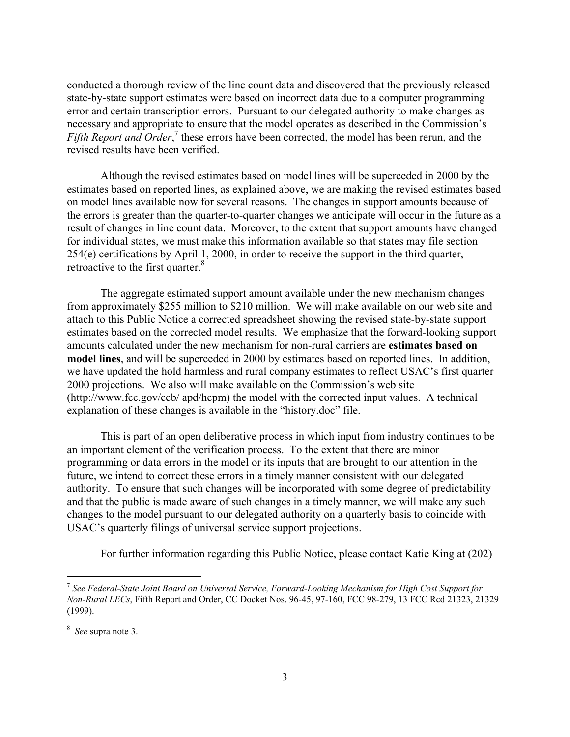conducted a thorough review of the line count data and discovered that the previously released state-by-state support estimates were based on incorrect data due to a computer programming error and certain transcription errors. Pursuant to our delegated authority to make changes as necessary and appropriate to ensure that the model operates as described in the Commission's Fifth Report and Order,<sup>7</sup> these errors have been corrected, the model has been rerun, and the revised results have been verified.

Although the revised estimates based on model lines will be superceded in 2000 by the estimates based on reported lines, as explained above, we are making the revised estimates based on model lines available now for several reasons. The changes in support amounts because of the errors is greater than the quarter-to-quarter changes we anticipate will occur in the future as a result of changes in line count data. Moreover, to the extent that support amounts have changed for individual states, we must make this information available so that states may file section 254(e) certifications by April 1, 2000, in order to receive the support in the third quarter, retroactive to the first quarter.<sup>8</sup>

The aggregate estimated support amount available under the new mechanism changes from approximately \$255 million to \$210 million. We will make available on our web site and attach to this Public Notice a corrected spreadsheet showing the revised state-by-state support estimates based on the corrected model results. We emphasize that the forward-looking support amounts calculated under the new mechanism for non-rural carriers are **estimates based on model lines**, and will be superceded in 2000 by estimates based on reported lines. In addition, we have updated the hold harmless and rural company estimates to reflect USAC's first quarter 2000 projections. We also will make available on the Commission's web site (http://www.fcc.gov/ccb/ apd/hcpm) the model with the corrected input values. A technical explanation of these changes is available in the "history.doc" file.

This is part of an open deliberative process in which input from industry continues to be an important element of the verification process. To the extent that there are minor programming or data errors in the model or its inputs that are brought to our attention in the future, we intend to correct these errors in a timely manner consistent with our delegated authority. To ensure that such changes will be incorporated with some degree of predictability and that the public is made aware of such changes in a timely manner, we will make any such changes to the model pursuant to our delegated authority on a quarterly basis to coincide with USAC's quarterly filings of universal service support projections.

For further information regarding this Public Notice, please contact Katie King at (202)

 $\overline{\phantom{0}}$ 

<sup>7</sup> *See Federal-State Joint Board on Universal Service, Forward-Looking Mechanism for High Cost Support for Non-Rural LECs*, Fifth Report and Order, CC Docket Nos. 96-45, 97-160, FCC 98-279, 13 FCC Rcd 21323, 21329 (1999).

<sup>8</sup> *See* supra note 3.